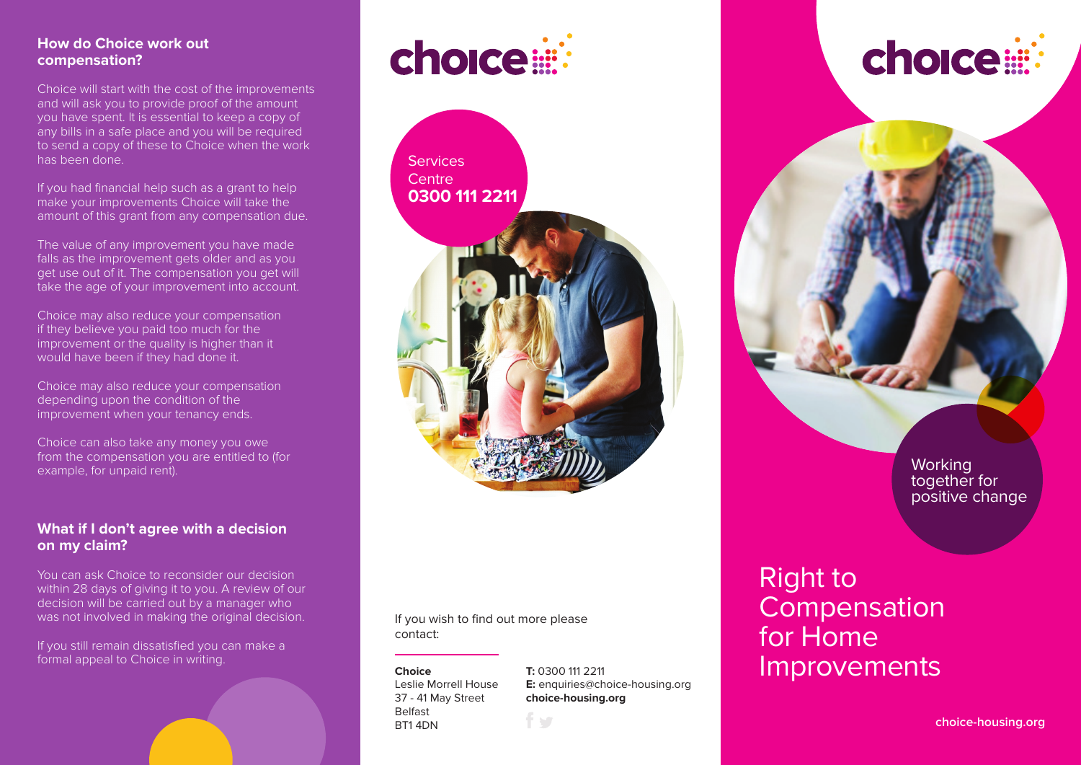#### **How do Choice work out compensation?**

Choice will start with the cost of the improvements and will ask you to provide proof of the amount you have spent. It is essential to keep a copy of any bills in a safe place and you will be required to send a copy of these to Choice when the work has been done.

If you had financial help such as a grant to help make your improvements Choice will take the amount of this grant from any compensation due.

The value of any improvement you have made falls as the improvement gets older and as you get use out of it. The compensation you get will take the age of your improvement into account.

Choice may also reduce your compensation if they believe you paid too much for the improvement or the quality is higher than it would have been if they had done it.

Choice may also reduce your compensation depending upon the condition of the improvement when your tenancy ends.

Choice can also take any money you owe from the compensation you are entitled to (for example, for unpaid rent).

#### **What if I don't agree with a decision on my claim?**

You can ask Choice to reconsider our decision within 28 days of giving it to you. A review of our decision will be carried out by a manager who was not involved in making the original decision.

If you still remain dissatisfied you can make a formal appeal to Choice in writing.

## choice

**Services** Centre **0300 111 2211**



If you wish to find out more please contact:

**Choice** Leslie Morrell House 37 - 41 May Street Belfast BT1 4DN

**T:** 0300 111 2211 **E:** enquiries@choice-housing.org **choice-housing.org**

# choice:

**Working** together for positive change

## Right to Compensation for Home Improvements

**choice-housing.org**